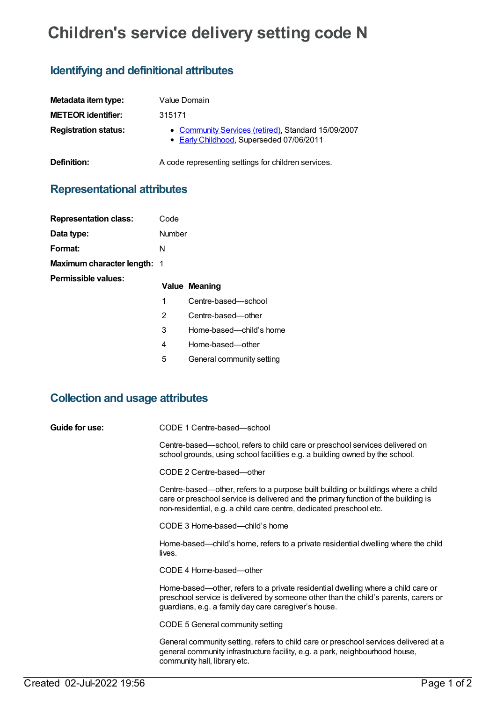# **Children's service delivery setting code N**

## **Identifying and definitional attributes**

| Metadata item type:         | Value Domain                                                                                    |
|-----------------------------|-------------------------------------------------------------------------------------------------|
| <b>METEOR identifier:</b>   | 315171                                                                                          |
| <b>Registration status:</b> | • Community Services (retired), Standard 15/09/2007<br>• Early Childhood, Superseded 07/06/2011 |
| Definition:                 | A code representing settings for children services.                                             |

### **Representational attributes**

| <b>Representation class:</b>       | Code   |               |
|------------------------------------|--------|---------------|
| Data type:                         | Number |               |
| Format:                            | N      |               |
| <b>Maximum character length: 1</b> |        |               |
| <b>Permissible values:</b>         |        |               |
|                                    |        | Value Meaning |
|                                    | 1      | Centre-ba     |
|                                    | 2      | Centre-ba     |
|                                    | 3      | Home-bas      |

- **Value Meaning**
- sed—school
- ised—other
- sed—child's home
- 4 Home-based—other
- 5 General community setting

#### **Collection and usage attributes**

**Guide for use:** CODE 1 Centre-based—school

Centre-based—school, refers to child care or preschool services delivered on school grounds, using school facilities e.g. a building owned by the school.

CODE 2 Centre-based—other

Centre-based—other, refers to a purpose built building or buildings where a child care or preschool service is delivered and the primary function of the building is non-residential, e.g. a child care centre, dedicated preschool etc.

CODE 3 Home-based—child's home

Home-based—child's home, refers to a private residential dwelling where the child lives.

CODE 4 Home-based—other

Home-based—other, refers to a private residential dwelling where a child care or preschool service is delivered by someone other than the child's parents, carers or guardians, e.g. a family day care caregiver's house.

CODE 5 General community setting

General community setting, refers to child care or preschool services delivered at a general community infrastructure facility, e.g. a park, neighbourhood house, community hall, library etc.